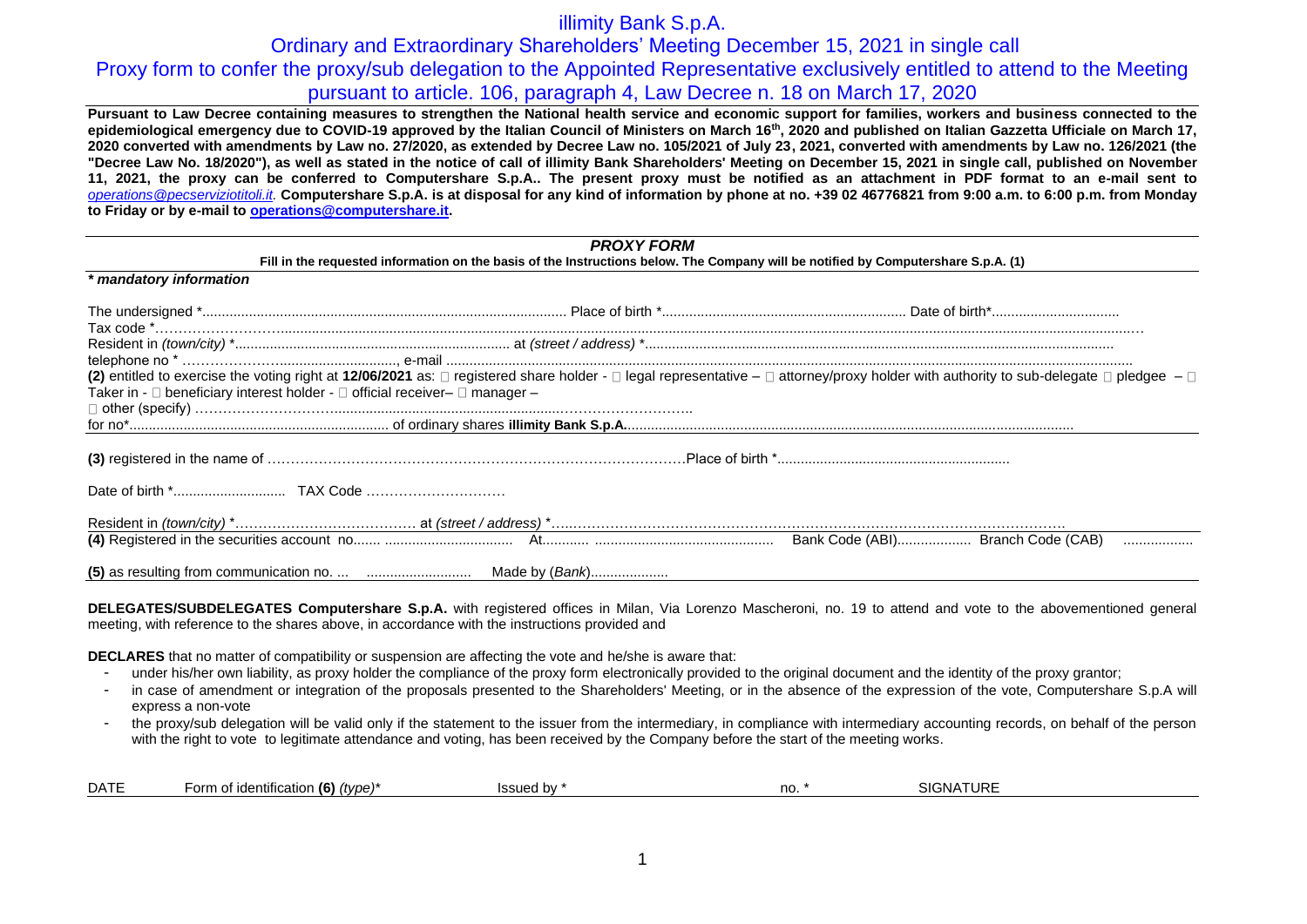## illimity Bank S.p.A.

# Ordinary and Extraordinary Shareholders' Meeting December 15, 2021 in single call Proxy form to confer the proxy/sub delegation to the Appointed Representative exclusively entitled to attend to the Meeting pursuant to article. 106, paragraph 4, Law Decree n. 18 on March 17, 2020

**Pursuant to Law Decree containing measures to strengthen the National health service and economic support for families, workers and business connected to the epidemiological emergency due to COVID-19 approved by the Italian Council of Ministers on March 16th, 2020 and published on Italian Gazzetta Ufficiale on March 17, 2020 converted with amendments by Law no. 27/2020, as extended by Decree Law no. 105/2021 of July 23, 2021, converted with amendments by Law no. 126/2021 (the "Decree Law No. 18/2020"), as well as stated in the notice of call of illimity Bank Shareholders' Meeting on December 15, 2021 in single call, published on November 11, 2021, the proxy can be conferred to Computershare S.p.A.. The present proxy must be notified as an attachment in PDF format to an e-mail sent to**  *[operations@pecserviziotitoli.it.](mailto:operations@pecserviziotitoli.it)* **Computershare S.p.A. is at disposal for any kind of information by phone at no. +39 02 46776821 from 9:00 a.m. to 6:00 p.m. from Monday to Friday or by e-mail to [operations@computershare.it.](mailto:operations@computershare.it)**

| <b>PROXY FORM</b><br>Fill in the requested information on the basis of the Instructions below. The Company will be notified by Computershare S.p.A. (1) |                                                                                                                                                                                                                |  |  |  |  |
|---------------------------------------------------------------------------------------------------------------------------------------------------------|----------------------------------------------------------------------------------------------------------------------------------------------------------------------------------------------------------------|--|--|--|--|
|                                                                                                                                                         |                                                                                                                                                                                                                |  |  |  |  |
|                                                                                                                                                         |                                                                                                                                                                                                                |  |  |  |  |
|                                                                                                                                                         |                                                                                                                                                                                                                |  |  |  |  |
|                                                                                                                                                         |                                                                                                                                                                                                                |  |  |  |  |
|                                                                                                                                                         |                                                                                                                                                                                                                |  |  |  |  |
|                                                                                                                                                         | (2) entitled to exercise the voting right at 12/06/2021 as: $\Box$ registered share holder - $\Box$ legal representative - $\Box$ attorney/proxy holder with authority to sub-delegate $\Box$ pledgee - $\Box$ |  |  |  |  |
| Taker in - $\square$ beneficiary interest holder - $\square$ official receiver- $\square$ manager -                                                     |                                                                                                                                                                                                                |  |  |  |  |
|                                                                                                                                                         |                                                                                                                                                                                                                |  |  |  |  |
|                                                                                                                                                         |                                                                                                                                                                                                                |  |  |  |  |
|                                                                                                                                                         |                                                                                                                                                                                                                |  |  |  |  |
|                                                                                                                                                         |                                                                                                                                                                                                                |  |  |  |  |
|                                                                                                                                                         |                                                                                                                                                                                                                |  |  |  |  |
|                                                                                                                                                         |                                                                                                                                                                                                                |  |  |  |  |
|                                                                                                                                                         |                                                                                                                                                                                                                |  |  |  |  |
|                                                                                                                                                         |                                                                                                                                                                                                                |  |  |  |  |

**DELEGATES/SUBDELEGATES Computershare S.p.A.** with registered offices in Milan, Via Lorenzo Mascheroni, no. 19 to attend and vote to the abovementioned general meeting, with reference to the shares above, in accordance with the instructions provided and

**DECLARES** that no matter of compatibility or suspension are affecting the vote and he/she is aware that:

- under his/her own liability, as proxy holder the compliance of the proxy form electronically provided to the original document and the identity of the proxy grantor;
- in case of amendment or integration of the proposals presented to the Shareholders' Meeting, or in the absence of the expression of the vote, Computershare S.p.A will express a non-vote
- the proxy/sub delegation will be valid only if the statement to the issuer from the intermediary, in compliance with intermediary accounting records, on behalf of the person with the right to vote to legitimate attendance and voting, has been received by the Company before the start of the meeting works.

|  | <b>DATE</b> | . .<br>. (6)<br>ົາrm ∟<br>$.$ (tyna) <sup>*</sup><br><b>identification</b> | u bv<br>,,,,,,,,<br>חוהי | no. | SIGN |
|--|-------------|----------------------------------------------------------------------------|--------------------------|-----|------|
|--|-------------|----------------------------------------------------------------------------|--------------------------|-----|------|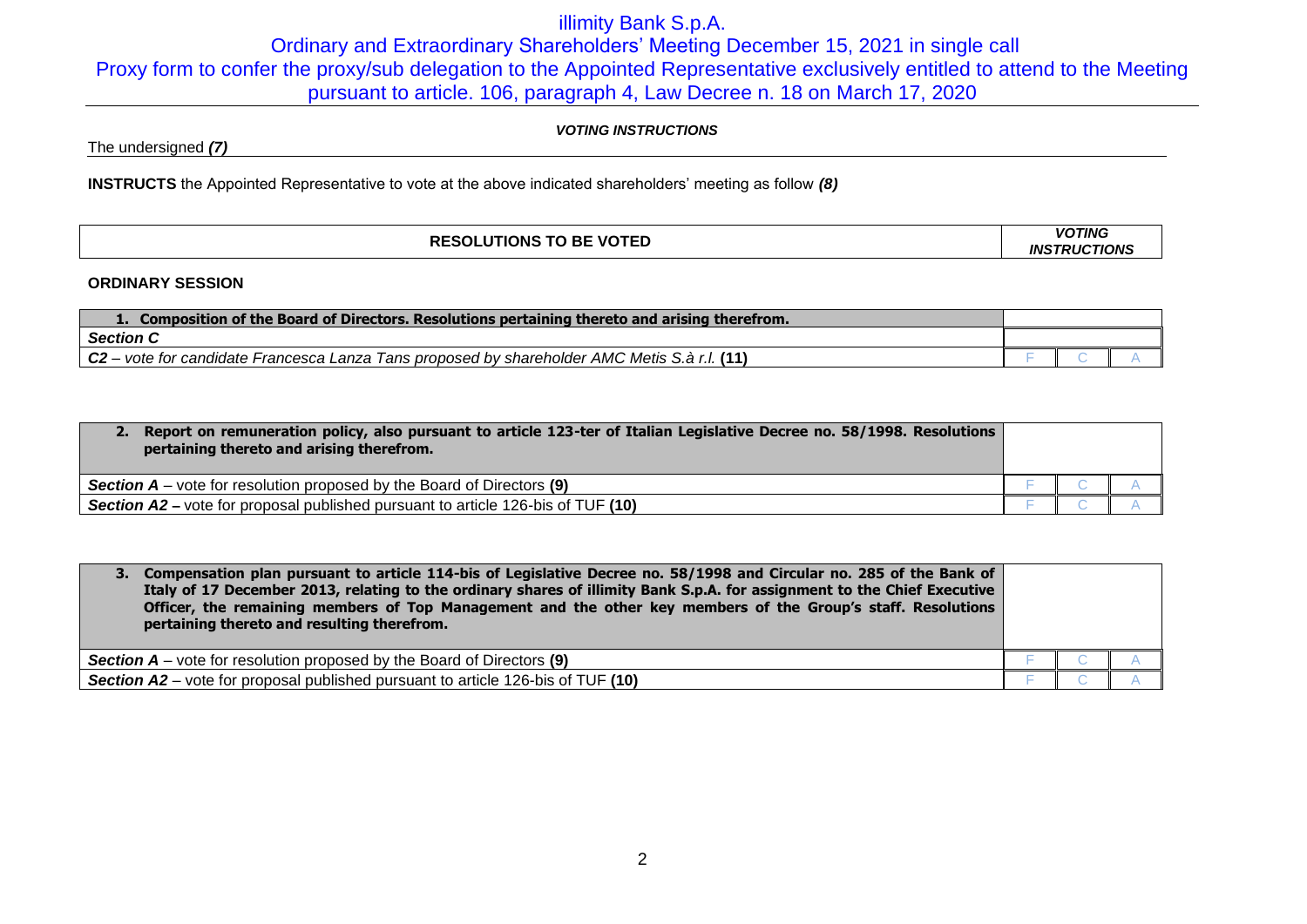# illimity Bank S.p.A. Ordinary and Extraordinary Shareholders' Meeting December 15, 2021 in single call Proxy form to confer the proxy/sub delegation to the Appointed Representative exclusively entitled to attend to the Meeting pursuant to article. 106, paragraph 4, Law Decree n. 18 on March 17, 2020

### *VOTING INSTRUCTIONS*

The undersigned *(7)*

**INSTRUCTS** the Appointed Representative to vote at the above indicated shareholders' meeting as follow *(8)*

| <b>SOLUTIONS TO BE VOTED</b><br>DF | <b>VOTING</b>                             |
|------------------------------------|-------------------------------------------|
| ne.                                | <b>TIONS</b><br><b>TRUC</b><br><b>INS</b> |

### **ORDINARY SESSION**

| Composition of the Board of Directors. Resolutions pertaining thereto and arising therefrom.        |  |  |  |
|-----------------------------------------------------------------------------------------------------|--|--|--|
| <b>Section C</b>                                                                                    |  |  |  |
| $\mid$ C2 – vote for candidate Francesca Lanza Tans proposed by shareholder AMC Metis S.à r.l. (11) |  |  |  |

| Report on remuneration policy, also pursuant to article 123-ter of Italian Legislative Decree no. 58/1998. Resolutions<br>pertaining thereto and arising therefrom. |  |  |
|---------------------------------------------------------------------------------------------------------------------------------------------------------------------|--|--|
| <b>Section A</b> – vote for resolution proposed by the Board of Directors (9)                                                                                       |  |  |
| <b>Section A2</b> – vote for proposal published pursuant to article 126-bis of TUF (10)                                                                             |  |  |

| 3. Compensation plan pursuant to article 114-bis of Legislative Decree no. 58/1998 and Circular no. 285 of the Bank of<br>Italy of 17 December 2013, relating to the ordinary shares of illimity Bank S.p.A. for assignment to the Chief Executive<br>Officer, the remaining members of Top Management and the other key members of the Group's staff. Resolutions<br>pertaining thereto and resulting therefrom. |  |  |
|-------------------------------------------------------------------------------------------------------------------------------------------------------------------------------------------------------------------------------------------------------------------------------------------------------------------------------------------------------------------------------------------------------------------|--|--|
| <b>Section A</b> – vote for resolution proposed by the Board of Directors $(9)$                                                                                                                                                                                                                                                                                                                                   |  |  |
| <b>Section A2</b> – vote for proposal published pursuant to article 126-bis of TUF (10)                                                                                                                                                                                                                                                                                                                           |  |  |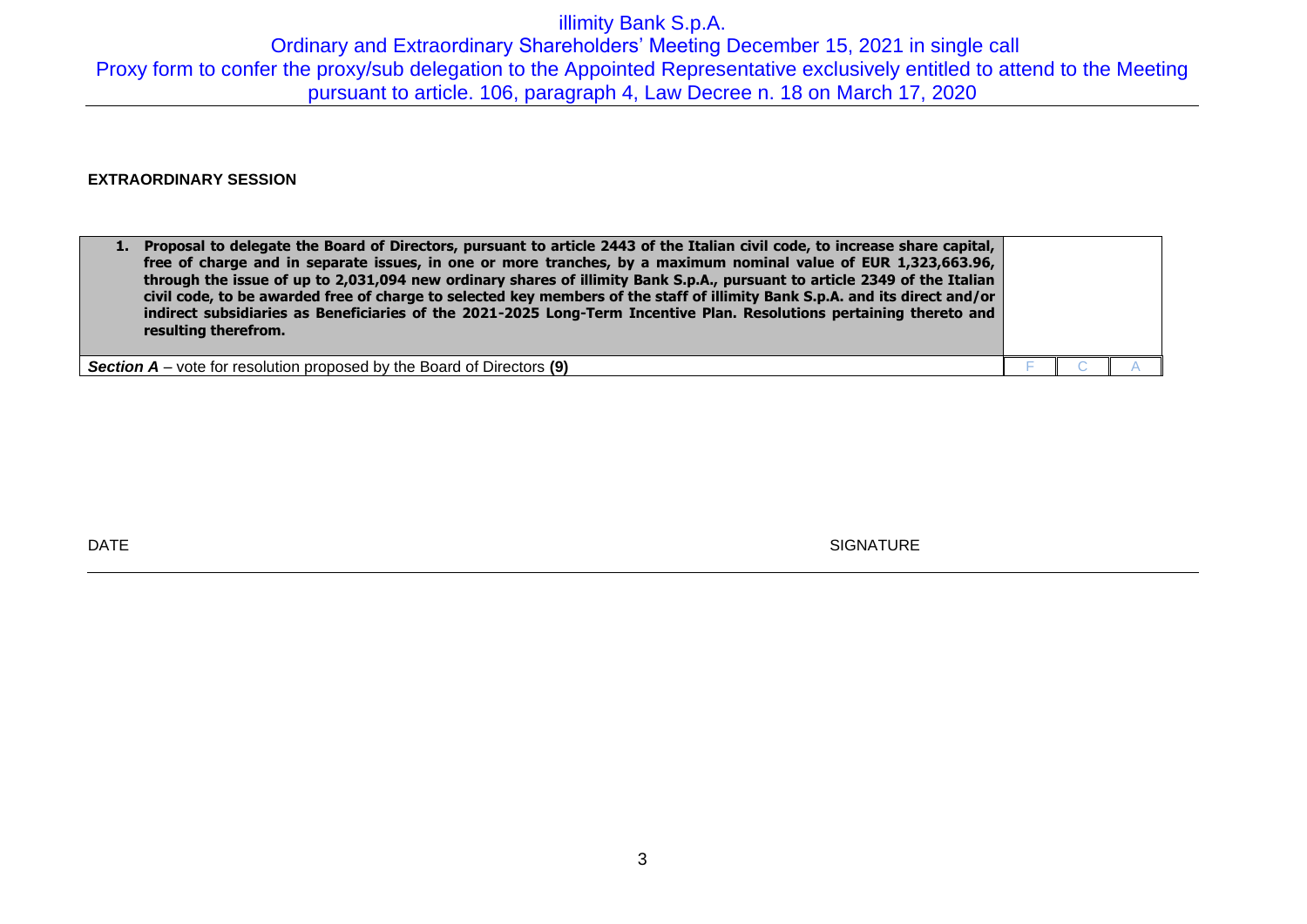## illimity Bank S.p.A. Ordinary and Extraordinary Shareholders' Meeting December 15, 2021 in single call Proxy form to confer the proxy/sub delegation to the Appointed Representative exclusively entitled to attend to the Meeting pursuant to article. 106, paragraph 4, Law Decree n. 18 on March 17, 2020

## **EXTRAORDINARY SESSION**

| 1. | Proposal to delegate the Board of Directors, pursuant to article 2443 of the Italian civil code, to increase share capital,<br>free of charge and in separate issues, in one or more tranches, by a maximum nominal value of EUR 1,323,663.96,<br>through the issue of up to 2,031,094 new ordinary shares of illimity Bank S.p.A., pursuant to article 2349 of the Italian<br>civil code, to be awarded free of charge to selected key members of the staff of illimity Bank S.p.A. and its direct and/or<br>indirect subsidiaries as Beneficiaries of the 2021-2025 Long-Term Incentive Plan. Resolutions pertaining thereto and<br>resulting therefrom. |  |  |
|----|------------------------------------------------------------------------------------------------------------------------------------------------------------------------------------------------------------------------------------------------------------------------------------------------------------------------------------------------------------------------------------------------------------------------------------------------------------------------------------------------------------------------------------------------------------------------------------------------------------------------------------------------------------|--|--|
|    | <b>Section <math>A</math></b> – vote for resolution proposed by the Board of Directors (9)                                                                                                                                                                                                                                                                                                                                                                                                                                                                                                                                                                 |  |  |

DATE SIGNATURE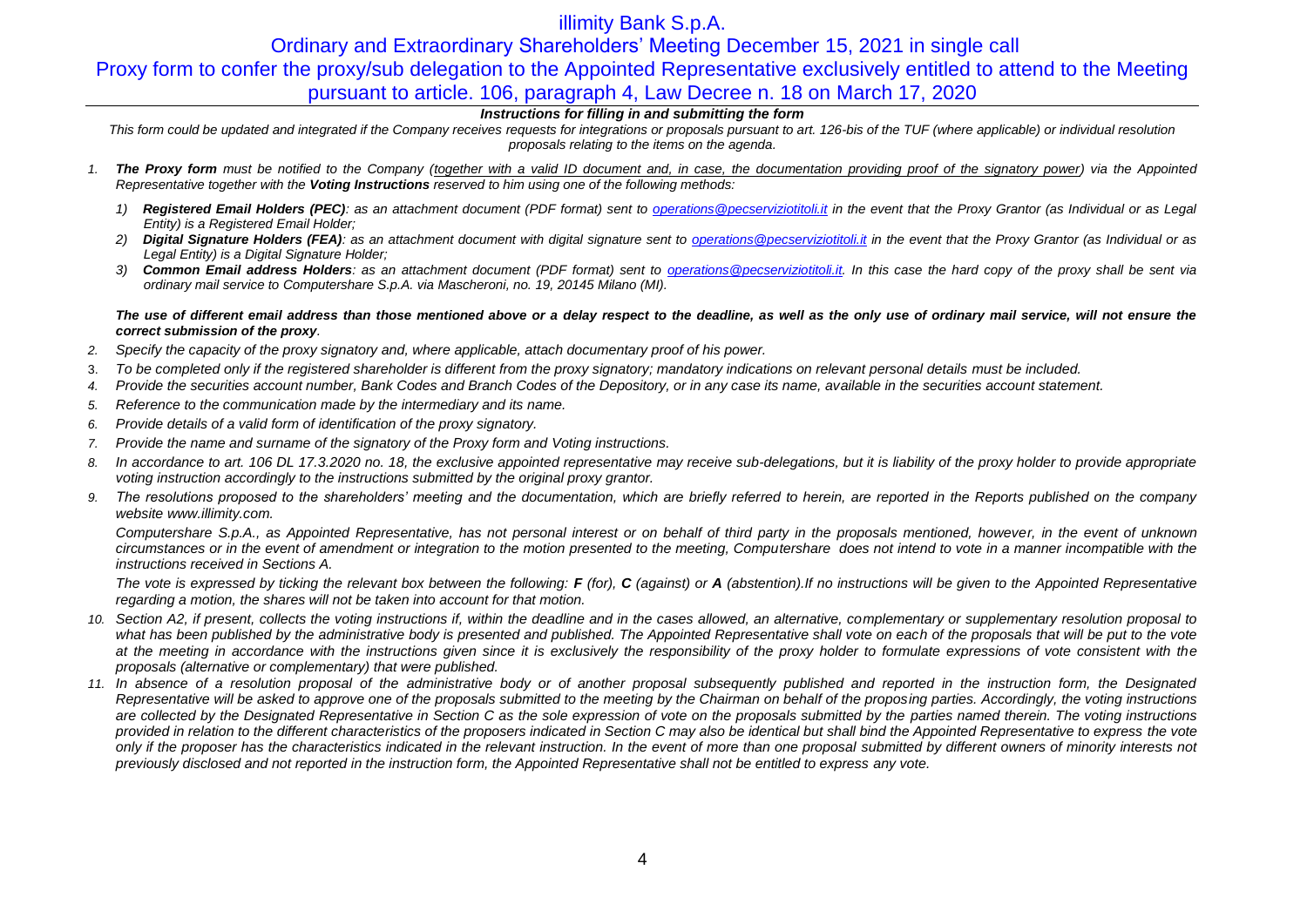## illimity Bank S.p.A.

# Ordinary and Extraordinary Shareholders' Meeting December 15, 2021 in single call Proxy form to confer the proxy/sub delegation to the Appointed Representative exclusively entitled to attend to the Meeting pursuant to article. 106, paragraph 4, Law Decree n. 18 on March 17, 2020

### *Instructions for filling in and submitting the form*

This form could be updated and integrated if the Company receives requests for integrations or proposals pursuant to art. 126-bis of the TUF (where applicable) or individual resolution *proposals relating to the items on the agenda.*

- *1. The Proxy form must be notified to the Company (together with a valid ID document and, in case, the documentation providing proof of the signatory power) via the Appointed Representative together with the Voting Instructions reserved to him using one of the following methods:*
	- *1) Registered Email Holders (PEC): as an attachment document (PDF format) sent to [operations@pecserviziotitoli.it](mailto:operations@pecserviziotitoli.it) in the event that the Proxy Grantor (as Individual or as Legal Entity) is a Registered Email Holder;*
	- *2) Digital Signature Holders (FEA): as an attachment document with digital signature sent to [operations@pecserviziotitoli.it](mailto:operations@pecserviziotitoli.it) in the event that the Proxy Grantor (as Individual or as Legal Entity) is a Digital Signature Holder;*
	- *3) Common Email address Holders: as an attachment document (PDF format) sent to [operations@pecserviziotitoli.it.](mailto:operations@pecserviziotitoli.it) In this case the hard copy of the proxy shall be sent via ordinary mail service to Computershare S.p.A. via Mascheroni, no. 19, 20145 Milano (MI).*

### *The use of different email address than those mentioned above or a delay respect to the deadline, as well as the only use of ordinary mail service, will not ensure the correct submission of the proxy.*

- *2. Specify the capacity of the proxy signatory and, where applicable, attach documentary proof of his power.*
- 3. *To be completed only if the registered shareholder is different from the proxy signatory; mandatory indications on relevant personal details must be included.*
- *4. Provide the securities account number, Bank Codes and Branch Codes of the Depository, or in any case its name, available in the securities account statement.*
- *5. Reference to the communication made by the intermediary and its name.*
- *6. Provide details of a valid form of identification of the proxy signatory.*
- *7. Provide the name and surname of the signatory of the Proxy form and Voting instructions.*
- 8. In accordance to art. 106 DL 17.3.2020 no. 18, the exclusive appointed representative may receive sub-delegations, but it is liability of the proxy holder to provide appropriate *voting instruction accordingly to the instructions submitted by the original proxy grantor.*
- *9. The resolutions proposed to the shareholders' meeting and the documentation, which are briefly referred to herein, are reported in the Reports published on the company websit[e www.illimity.com.](http://www.illimity.com/)*

*Computershare S.p.A., as Appointed Representative, has not personal interest or on behalf of third party in the proposals mentioned, however, in the event of unknown circumstances or in the event of amendment or integration to the motion presented to the meeting, Computershare does not intend to vote in a manner incompatible with the instructions received in Sections A.*

The vote is expressed by ticking the relevant box between the following:  $F$  (for),  $C$  (against) or  $A$  (abstention). If no instructions will be given to the Appointed Representative *regarding a motion, the shares will not be taken into account for that motion.*

- *10. Section A2, if present, collects the voting instructions if, within the deadline and in the cases allowed, an alternative, complementary or supplementary resolution proposal to*  what has been published by the administrative body is presented and published. The Appointed Representative shall vote on each of the proposals that will be put to the vote at the meeting in accordance with the instructions given since it is exclusively the responsibility of the proxy holder to formulate expressions of vote consistent with the *proposals (alternative or complementary) that were published.*
- *11. In absence of a resolution proposal of the administrative body or of another proposal subsequently published and reported in the instruction form, the Designated Representative will be asked to approve one of the proposals submitted to the meeting by the Chairman on behalf of the proposing parties. Accordingly, the voting instructions are collected by the Designated Representative in Section C as the sole expression of vote on the proposals submitted by the parties named therein. The voting instructions provided in relation to the different characteristics of the proposers indicated in Section C may also be identical but shall bind the Appointed Representative to express the vote only if the proposer has the characteristics indicated in the relevant instruction. In the event of more than one proposal submitted by different owners of minority interests not previously disclosed and not reported in the instruction form, the Appointed Representative shall not be entitled to express any vote.*